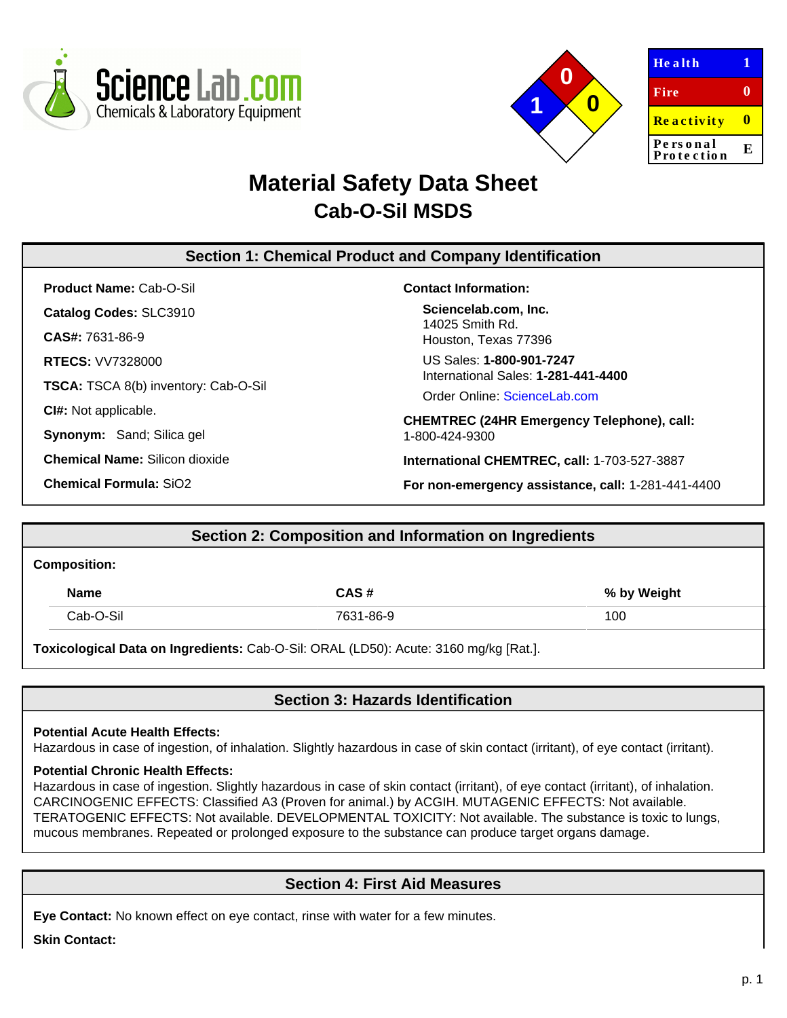



| <b>Health</b>          |   |
|------------------------|---|
| Fire                   |   |
| Reactivity             |   |
| Personal<br>Protection | E |

# **Material Safety Data Sheet Cab-O-Sil MSDS**

# **Section 1: Chemical Product and Company Identification**

**Product Name:** Cab-O-Sil **Catalog Codes:** SLC3910

**CAS#:** 7631-86-9

**RTECS:** VV7328000

**TSCA:** TSCA 8(b) inventory: Cab-O-Sil

**CI#:** Not applicable.

**Synonym:** Sand; Silica gel

**Chemical Name:** Silicon dioxide

**Chemical Formula:** SiO2

## **Contact Information:**

**Sciencelab.com, Inc.** 14025 Smith Rd. Houston, Texas 77396

US Sales: **1-800-901-7247** International Sales: **1-281-441-4400**

Order Online: [ScienceLab.com](http://www.sciencelab.com/)

**CHEMTREC (24HR Emergency Telephone), call:** 1-800-424-9300

**International CHEMTREC, call:** 1-703-527-3887

**For non-emergency assistance, call:** 1-281-441-4400

# **Section 2: Composition and Information on Ingredients**

#### **Composition:**

| <b>Name</b> | CAS#      | % by Weight |
|-------------|-----------|-------------|
| Cab-O-Sil   | 7631-86-9 | 100         |

**Toxicological Data on Ingredients:** Cab-O-Sil: ORAL (LD50): Acute: 3160 mg/kg [Rat.].

# **Section 3: Hazards Identification**

## **Potential Acute Health Effects:**

Hazardous in case of ingestion, of inhalation. Slightly hazardous in case of skin contact (irritant), of eye contact (irritant).

## **Potential Chronic Health Effects:**

Hazardous in case of ingestion. Slightly hazardous in case of skin contact (irritant), of eye contact (irritant), of inhalation. CARCINOGENIC EFFECTS: Classified A3 (Proven for animal.) by ACGIH. MUTAGENIC EFFECTS: Not available. TERATOGENIC EFFECTS: Not available. DEVELOPMENTAL TOXICITY: Not available. The substance is toxic to lungs, mucous membranes. Repeated or prolonged exposure to the substance can produce target organs damage.

# **Section 4: First Aid Measures**

**Eye Contact:** No known effect on eye contact, rinse with water for a few minutes.

**Skin Contact:**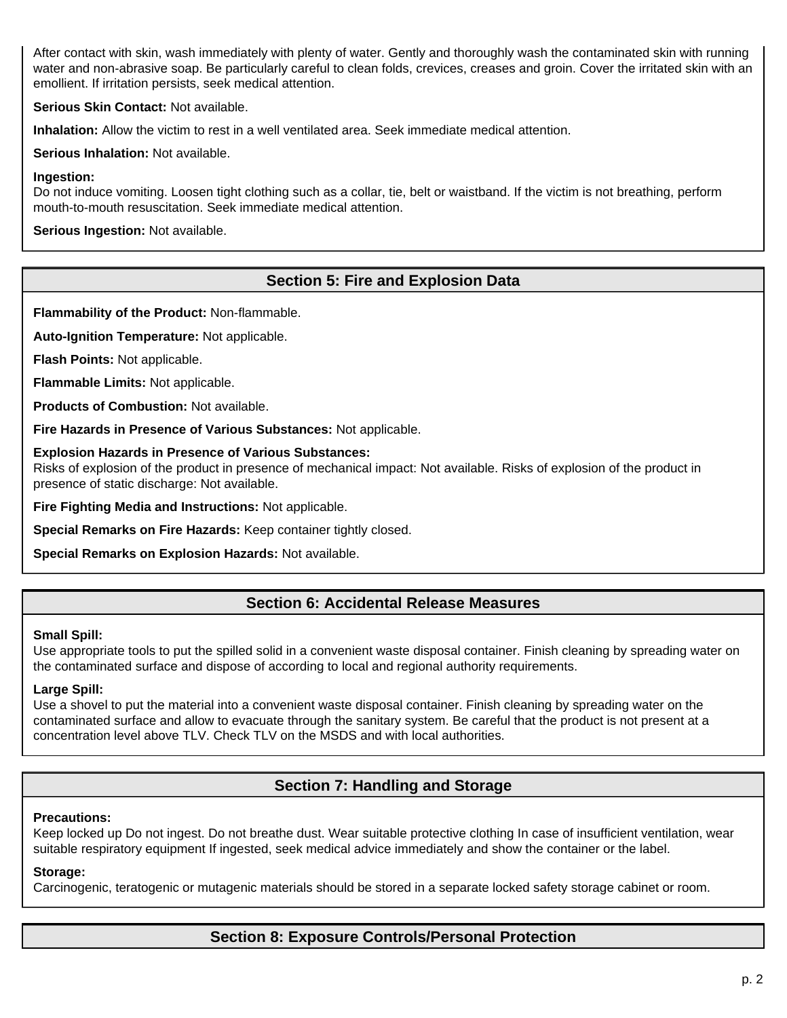After contact with skin, wash immediately with plenty of water. Gently and thoroughly wash the contaminated skin with running water and non-abrasive soap. Be particularly careful to clean folds, crevices, creases and groin. Cover the irritated skin with an emollient. If irritation persists, seek medical attention.

**Serious Skin Contact:** Not available.

**Inhalation:** Allow the victim to rest in a well ventilated area. Seek immediate medical attention.

**Serious Inhalation:** Not available.

#### **Ingestion:**

Do not induce vomiting. Loosen tight clothing such as a collar, tie, belt or waistband. If the victim is not breathing, perform mouth-to-mouth resuscitation. Seek immediate medical attention.

**Serious Ingestion:** Not available.

# **Section 5: Fire and Explosion Data**

**Flammability of the Product:** Non-flammable.

**Auto-Ignition Temperature:** Not applicable.

**Flash Points:** Not applicable.

**Flammable Limits:** Not applicable.

**Products of Combustion:** Not available.

**Fire Hazards in Presence of Various Substances:** Not applicable.

#### **Explosion Hazards in Presence of Various Substances:**

Risks of explosion of the product in presence of mechanical impact: Not available. Risks of explosion of the product in presence of static discharge: Not available.

**Fire Fighting Media and Instructions:** Not applicable.

**Special Remarks on Fire Hazards:** Keep container tightly closed.

**Special Remarks on Explosion Hazards:** Not available.

## **Section 6: Accidental Release Measures**

#### **Small Spill:**

Use appropriate tools to put the spilled solid in a convenient waste disposal container. Finish cleaning by spreading water on the contaminated surface and dispose of according to local and regional authority requirements.

## **Large Spill:**

Use a shovel to put the material into a convenient waste disposal container. Finish cleaning by spreading water on the contaminated surface and allow to evacuate through the sanitary system. Be careful that the product is not present at a concentration level above TLV. Check TLV on the MSDS and with local authorities.

# **Section 7: Handling and Storage**

#### **Precautions:**

Keep locked up Do not ingest. Do not breathe dust. Wear suitable protective clothing In case of insufficient ventilation, wear suitable respiratory equipment If ingested, seek medical advice immediately and show the container or the label.

## **Storage:**

Carcinogenic, teratogenic or mutagenic materials should be stored in a separate locked safety storage cabinet or room.

## **Section 8: Exposure Controls/Personal Protection**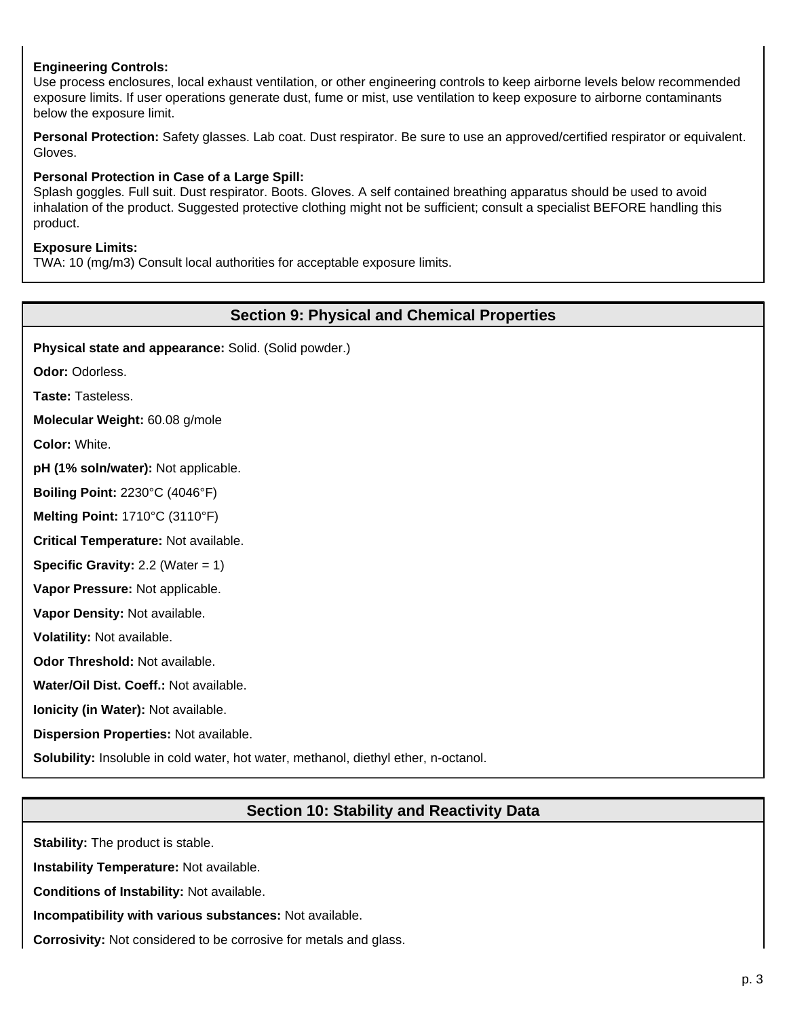## **Engineering Controls:**

Use process enclosures, local exhaust ventilation, or other engineering controls to keep airborne levels below recommended exposure limits. If user operations generate dust, fume or mist, use ventilation to keep exposure to airborne contaminants below the exposure limit.

**Personal Protection:** Safety glasses. Lab coat. Dust respirator. Be sure to use an approved/certified respirator or equivalent. Gloves.

#### **Personal Protection in Case of a Large Spill:**

Splash goggles. Full suit. Dust respirator. Boots. Gloves. A self contained breathing apparatus should be used to avoid inhalation of the product. Suggested protective clothing might not be sufficient; consult a specialist BEFORE handling this product.

#### **Exposure Limits:**

TWA: 10 (mg/m3) Consult local authorities for acceptable exposure limits.

## **Section 9: Physical and Chemical Properties**

**Physical state and appearance:** Solid. (Solid powder.)

**Odor:** Odorless.

**Taste:** Tasteless.

**Molecular Weight:** 60.08 g/mole

**Color:** White.

**pH (1% soln/water):** Not applicable.

**Boiling Point:** 2230°C (4046°F)

**Melting Point:** 1710°C (3110°F)

**Critical Temperature:** Not available.

**Specific Gravity:** 2.2 (Water = 1)

**Vapor Pressure:** Not applicable.

**Vapor Density:** Not available.

**Volatility:** Not available.

**Odor Threshold:** Not available.

**Water/Oil Dist. Coeff.:** Not available.

**Ionicity (in Water):** Not available.

**Dispersion Properties:** Not available.

**Solubility:** Insoluble in cold water, hot water, methanol, diethyl ether, n-octanol.

# **Section 10: Stability and Reactivity Data**

**Stability:** The product is stable.

**Instability Temperature:** Not available.

**Conditions of Instability:** Not available.

**Incompatibility with various substances:** Not available.

**Corrosivity:** Not considered to be corrosive for metals and glass.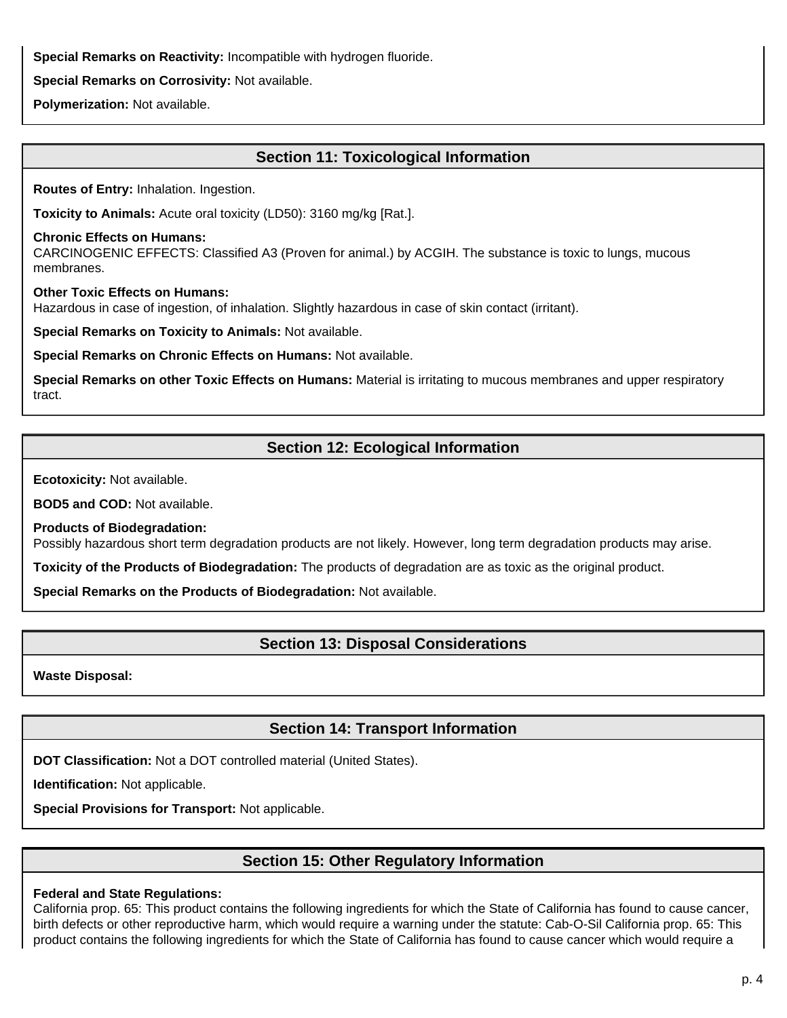**Special Remarks on Reactivity:** Incompatible with hydrogen fluoride.

**Special Remarks on Corrosivity:** Not available.

**Polymerization:** Not available.

# **Section 11: Toxicological Information**

**Routes of Entry:** Inhalation. Ingestion.

**Toxicity to Animals:** Acute oral toxicity (LD50): 3160 mg/kg [Rat.].

#### **Chronic Effects on Humans:**

CARCINOGENIC EFFECTS: Classified A3 (Proven for animal.) by ACGIH. The substance is toxic to lungs, mucous membranes.

**Other Toxic Effects on Humans:**

Hazardous in case of ingestion, of inhalation. Slightly hazardous in case of skin contact (irritant).

**Special Remarks on Toxicity to Animals:** Not available.

**Special Remarks on Chronic Effects on Humans:** Not available.

**Special Remarks on other Toxic Effects on Humans:** Material is irritating to mucous membranes and upper respiratory tract.

# **Section 12: Ecological Information**

**Ecotoxicity:** Not available.

**BOD5 and COD:** Not available.

**Products of Biodegradation:**

Possibly hazardous short term degradation products are not likely. However, long term degradation products may arise.

**Toxicity of the Products of Biodegradation:** The products of degradation are as toxic as the original product.

**Special Remarks on the Products of Biodegradation:** Not available.

# **Section 13: Disposal Considerations**

**Waste Disposal:**

# **Section 14: Transport Information**

**DOT Classification:** Not a DOT controlled material (United States).

**Identification:** Not applicable.

**Special Provisions for Transport:** Not applicable.

# **Section 15: Other Regulatory Information**

## **Federal and State Regulations:**

California prop. 65: This product contains the following ingredients for which the State of California has found to cause cancer, birth defects or other reproductive harm, which would require a warning under the statute: Cab-O-Sil California prop. 65: This product contains the following ingredients for which the State of California has found to cause cancer which would require a